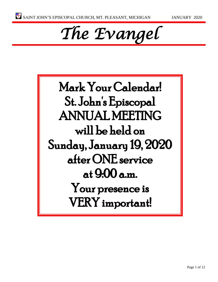# *The Evangel*

Mark Your Calendar! St. John's Episcopal **ANNUAL MEETING** will be held on Sunday, January 19, 2020 after ONE service at 9:00 a.m. Your presence is **VERY** important!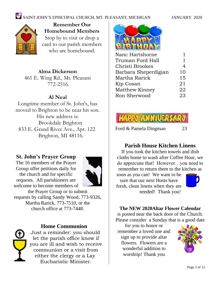# SAINT JOHN'S EPISCOPAL CHURCH, MT. PLEASANT, MICHIGAN JANUARY 2020



**Remember Our Homebound Members** Stop by to visit or drop a card to our parish members who are homebound.

# **Alma Dickerson**

461 E. Wing Rd., Mt. Pleasant 772-2516.

# **Al Neal**

Longtime member of St. John's, has moved to Brighton to be near his son. His new address is: Brookdale Brighton 833 E. Grand River Ave., Apt. 122 Brighton, MI 48116.

# **St. John's Prayer Group**

The 16 members of the Prayer Group offer petitions daily for the church and for specific requests. All parishioners are welcome to become members of



the Prayer Group or to submit requests by calling Sandy Wood, 773-9326, Martha Rarick, 773-7510, or the church office at 773-7448.

# **Home Communion**

Just a reminder: you should let the parish office know if you are ill and wish to receive communion or a visit from either the clergy or a Lay Eucharistic Minister.



| Nanc Hartshorne       |    |
|-----------------------|----|
| Truman Ford Hall      | 1  |
| Christi Brookes       | 4  |
| Barbara Sheperdigian  | 10 |
| Martha Rarick         | 15 |
| Kip Cosan             | 21 |
| <b>Matthew Kinney</b> | 22 |
| Ron Sherwood          | 23 |
|                       |    |



| Ford & Pamela Dingman | 23 |
|-----------------------|----|
|-----------------------|----|

# **Parish House Kitchen Linens**

If you took the kitchen towels and dish cloths home to wash after Coffee Hour, we do appreciate that! However…you need to remember to return them to the kitchen as

soon as you can! We want to be sure that our next Hosts have fresh, clean linens when they are needed! Thank you!



# **The NEW 2020Altar Flower Calendar**

is posted near the back door of the Church. Please consider a Sunday that is a good date

for you to honor or remember a loved one and sign up to provide altar flowers. Flowers are a wonderful addition to worshiip! Thank you

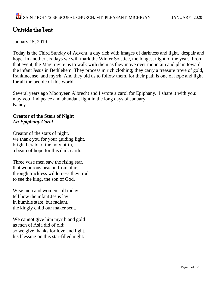# Outside the Tent

January 15, 2019

Today is the Third Sunday of Advent, a day rich with images of darkness and light, despair and hope. In another six days we will mark the Winter Solstice, the longest night of the year. From that event, the Magi invite us to walk with them as they move over mountain and plain toward the infant Jesus in Bethlehem. They process in rich clothing; they carry a treasure trove of gold, frankincense, and myrrh. And they bid us to follow them, for their path is one of hope and light for all the people of this world.

Several years ago Moonyeen Albrecht and I wrote a carol for Epiphany. I share it with you: may you find peace and abundant light in the long days of January. Nancy

## **Creator of the Stars of Night** *An Epiphany Carol*

Creator of the stars of night, we thank you for your guiding light, bright herald of the holy birth, a beam of hope for this dark earth.

Three wise men saw the rising star, that wondrous beacon from afar; through trackless wilderness they trod to see the king, the son of God.

Wise men and women still today tell how the infant Jesus lay in humble state, but radiant, the kingly child our maker sent.

We cannot give him myrrh and gold as men of Asia did of old; so we give thanks for love and light, his blessing on this star-filled night.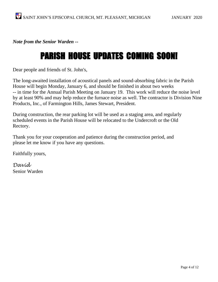# *Note from the Senior Warden --*

# PARISH HOUSE UPDATES COMING SOON!

Dear people and friends of St. John's,

The long-awaited installation of acoustical panels and sound-absorbing fabric in the Parish House will begin Monday, January 6, and should be finished in about two weeks -- in time for the Annual Parish Meeting on January 19. This work will reduce the noise level by at least 90% and may help reduce the furnace noise as well. The contractor is Division Nine Products, Inc., of Farmington Hills, James Stewart, President.

During construction, the rear parking lot will be used as a staging area, and regularly scheduled events in the Parish House will be relocated to the Undercroft or the Old Rectory.

Thank you for your cooperation and patience during the construction period, and please let me know if you have any questions.

Faithfully yours,

*David* Senior Warden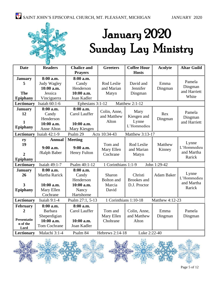

# January 2020 Sunday Lay Ministry

| <b>Date</b>        | <b>Readers</b>      | <b>Chalice and</b> | <b>Greeters</b>       | <b>Coffee Hour</b> | <b>Acolyte</b>         | <b>Altar Guild</b>        |
|--------------------|---------------------|--------------------|-----------------------|--------------------|------------------------|---------------------------|
|                    |                     | <b>Prayers</b>     |                       | <b>Hosts</b>       |                        |                           |
| <b>January</b>     | 8:00 a.m.           | 8:00 a.m.          |                       |                    |                        | Pamela                    |
| 5                  | Judy Wagley         | Candy              | Rod Leslie            | David and          | Emma                   |                           |
|                    | 10:00 a.m.          | Henderson          | and Marian            | Jennifer           | Dingman                | Dingman                   |
| The                | Jessica             | $10:00$ a.m.       | Matyn                 | Dingman            |                        | and Harriett              |
| <b>Epiphany</b>    | Vinciguerra         | Joan Kadler        |                       |                    |                        | White                     |
| Lectionary         | Isaiah 60:1-6       | Ephesians 3:1-12   |                       | Matthew 2:1-12     |                        |                           |
| <b>January</b>     | 8:00 a.m.           | 8:00 a.m.          | Colin, Anne,          | Mary               |                        |                           |
| 12                 | Candy               | Carol Lauffer      | and Matthew           | Kiesgen and        | Rex                    | Pamela                    |
|                    | Henderson           |                    | Alton                 | Lynne              | Dingman                | Dingman                   |
| 1                  | 10:00 a.m.          | 10:00 a.m.         |                       | L'Hommedieu        |                        | and Harriett              |
| <b>Epiphany</b>    | Anne Alton          | Mary Kiesgen       |                       |                    |                        |                           |
| Lectionary         | Isaiah 42:1-9       | Psalm 29           | Acts 10:34-43         | Matthew 3:13-17    |                        |                           |
| ry                 | <b>Annual</b>       | <b>Meeting</b>     |                       |                    |                        |                           |
| 19                 |                     |                    | Tom and               | Rod Leslie         | Matthew                | Lynne<br>L'Hommedieu      |
|                    | 9:00 a.m.           | $9:00$ a.m.        | Mary Ellen            | and Marian         | Kinney                 | and Martha                |
| $\overline{2}$     | /Ralph Baber        | Henry Fulton       | Cochrane              | Matyn              |                        | Rarick                    |
| <b>Epiphany</b>    |                     |                    |                       |                    |                        |                           |
| Lectionary         | Isaiah 49:1-7       | Psalm 40:1-12      | 1 Corinthians 1:1-9   |                    | John 1:29-42           |                           |
| <b>January</b>     | 8:00 a.m.           | 8:00 a.m.          |                       |                    |                        |                           |
| 26                 | Martha Rarick       | Candy              | Sharon                | Christi            | <b>Adam Baker</b>      | Lynne                     |
|                    |                     | Henderson          | <b>Bolton</b> and     | <b>Brookes</b> and |                        | L'Hommedieu<br>and Martha |
| 3                  | 10:00 a.m.          | 10:00 a.m.         | Marcia                | D.J. Proctor       |                        | Rarick                    |
| <b>Epiphany</b>    | Mary Ellen          | Nancy              | David                 |                    |                        |                           |
|                    | Cochrane            | Hartshorne         |                       |                    |                        |                           |
| Lectionary         | Isaiah 9:1-4        | Psalm 27:1, 5-13   | 1 Corinthians 1:10-18 |                    | <b>Matthew 4:12-23</b> |                           |
| February           | 8:00 a.m.           | 8:00 a.m.          |                       |                    |                        |                           |
| $\overline{2}$     | Barbara             | Carol Lauffer      | Tom and               | Colin, Anne,       | Emma                   | Pamela                    |
|                    | Sheperdigian        |                    | Mary Ellen            | and Matthew        | Dingman                | Dingman                   |
| <b>Presentatio</b> | 10:00 a.m.          | 10:00 a.m.         | Chohrane              | Alton              |                        |                           |
| n of the<br>Lord   | <b>Tom Cochrane</b> | Joan Kadler        |                       |                    |                        |                           |
| Lectionary         | Malachi 3:1-4       | Psalm 84           | Hebrews 2:14-18       | Luke 2:22-40       |                        |                           |

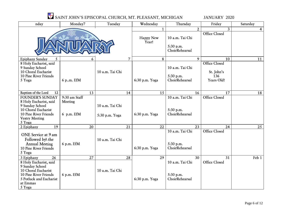# SAINT JOHN'S EPISCOPAL CHURCH, MT. PLEASANT, MICHIGAN JANUARY 2020

| nday                                                                                                                                                                                 | Monday7                                        | Tuesday                                 | Wednesday            | Thursday                                                         | Friday                                                        | Saturday                |
|--------------------------------------------------------------------------------------------------------------------------------------------------------------------------------------|------------------------------------------------|-----------------------------------------|----------------------|------------------------------------------------------------------|---------------------------------------------------------------|-------------------------|
|                                                                                                                                                                                      |                                                |                                         | Happy New<br>Year!   | $\overline{2}$<br>10 a.m. Tai Chi<br>5:30 p.m.<br>ChoirRehearsal | $\overline{3}$<br><b>Office Closed</b>                        | $\overline{\mathbf{r}}$ |
| Epiphany Sunday<br>5<br>8 Holy Eucharist, said<br>9 Sunday School<br>10 Choral Eucharist<br>10 Pine River Friends<br>5 Yoga                                                          | 6<br>6 p.m. EfM                                | 7<br>10 a.m. Tai Chi                    | 8<br>6:30 p.m. Yoga  | 9<br>10 a.m. Tai Chi<br>5:30 p.m.<br>ChoirRehearsal              | 10<br><b>Office Closed</b><br>St. John's<br>136<br>Years Old! | 11                      |
| Baptism of the Lord<br>12<br><b>FOUNDER'S SUNDAY</b><br>8 Holy Eucharist, said<br>9 Sunday School<br>10 Choral Eucharist<br>10 Pine River Friends<br><b>Vestry Meeting</b><br>5 Yoga | 13<br>9:30 am Staff<br>Meeting<br>$6$ p.m. EfM | 14<br>10 a.m. Tai Chi<br>5:30 p.m. Yoga | 15<br>6:30 p.m. Yoga | 16<br>10 a.m. Tai Chi<br>5:30 p.m.<br>ChoirRehearsal             | 17<br>Office Closed                                           | 18                      |
| $\overline{19}$<br>2 Epiphany                                                                                                                                                        | 20                                             | 21                                      | 22                   | 23                                                               | 24                                                            | 25                      |
| ONE Service at 9 am<br>Followed by\ the<br><b>Annual Meeting</b><br>10 Pine River Friends<br>5 Yoga                                                                                  | 6 p.m. EfM                                     | 10 a.m. Tai Chi                         | 6:30 p.m. Yoga       | 10 a.m. Tai Chi<br>5:30 p.m.<br>ChoirRehearsal                   | <b>Office Closed</b>                                          |                         |
| 26<br>3 Epiphany<br>8 Holy Eucharist, said<br>9 Sunday School<br>10 Choral Eucharist<br>10 Pine River Friends<br>5 Potluck and Eucharist<br>at Emmas<br>5 Yoga                       | 27<br>$6$ p.m. EfM                             | 28<br>10 a.m. Tai Chi                   | 29<br>6:30 p.m. Yoga | 30<br>10 a.m. Tai Chi<br>5:30 p.m.<br>ChoirRehearsal             | 31<br><b>Office Closed</b>                                    | Feb 1                   |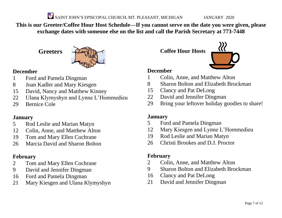SAINT JOHN'S EPISCOPAL CHURCH, MT. PLEASANT, MICHIGAN JANUARY 2020

**This is our Greeter/Coffee Hour Host Schedule—If you cannot serve on the date you were given, please exchange dates with someone else on the list and call the Parish Secretary at 773-7448**

**Greeters**



# **December**

- Ford and Pamela Dingman
- Joan Kadler and Mary Kiesgen
- David, Nancy and Matthew Kinney
- Ulana Klymyshyn and Lynne L'Hommedieu
- Bernice Cole

# **January**

- Rod Leslie and Marian Matyn
- Colin, Anne, and Matthew Alton
- Tom and Mary Ellen Cochrane
- Marcia David and Sharon Bolton

# **February**

- Tom and Mary Ellen Cochrane
- David and Jennifer Dingman
- Ford and Pamela Dingman
- Mary Kiesgen and Ulana Klymyshyn

**Coffee Hour Hosts**



# **December**

- Colin, Anne, and Matthew Alton
- Sharon Bolton and Elizabeth Brockman
- Clancy and Pat DeLong
- David and Jennifer Dingman
- Bring your leftover holiday goodies to share!

# **January**

- Ford and Pamela Dingman
- Mary Kiesgen and Lynne L'Hommedieu
- Rod Leslie and Marian Matyn
- Christi Brookes and D.J. Proctor

# **February**

- Colin, Anne, and Matthew Alton
- Sharon Bolton and Elizabeth Brockman
- Clancy and Pat DeLong
- David and Jennifer Dingman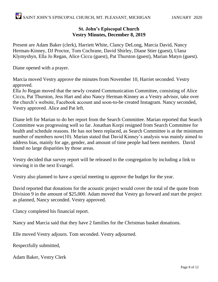## **St. John's Episcopal Church Vestry Minutes, December 8, 2019**

Present are Adam Baker (clerk), Harriett White, Clancy DeLong, Marcia David, Nancy Herman-Kinney, DJ Proctor, Tom Cochrane, David Shirley, Diane Stier (guest), Ulana Klymyshyn, Ella Jo Regan, Alice Ciccu (guest), Pat Thurston (guest), Marian Matyn (guest).

Diane opened with a prayer.

Marcia moved Vestry approve the minutes from November 10, Harriet seconded. Vestry approved.

Ella Jo Regan moved that the newly created Communication Committee, consisting of Alice Ciccu, Pat Thurston, Jess Hart and also Nancy Herman-Kinney as a Vestry advisor, take over the church's website, Facebook account and soon-to-be created Instagram. Nancy seconded, Vestry approved. Alice and Pat left.

Diane left for Marian to do her report from the Search Committee. Marian reported that Search Committee was progressing well so far. Jonathan Korpi resigned from Search Committee for health and schedule reasons. He has not been replaced, as Search Committee is at the minimum number of members now(10). Marian stated that David Kinney's analysis was mainly aimed to address bias, mainly for age, gender, and amount of time people had been members. David found no large disparities by those areas.

Vestry decided that survey report will be released to the congregation by including a link to viewing it in the next Evangel.

Vestry also planned to have a special meeting to approve the budget for the year.

David reported that donations for the acoustic project would cover the total of the quote from Division 9 in the amount of \$25,000. Adam moved that Vestry go forward and start the project as planned, Nancy seconded. Vestry approved.

Clancy completed his financial report.

Nancy and Marcia said that they have 2 families for the Christmas basket donations.

Elle moved Vestry adjourn. Tom seconded. Vestry adjourned.

Respectfully submitted,

Adam Baker, Vestry Clerk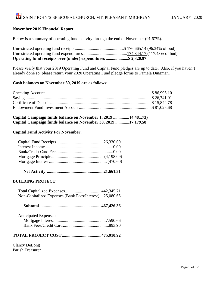#### **November 2019 Financial Report**

Below is a summary of operating fund activity through the end of November (91.67%).

| Operating fund receipts over (under) expenditures \$ 2,320.97 |  |
|---------------------------------------------------------------|--|
|                                                               |  |
|                                                               |  |

Please verify that your 2019 Operating Fund and Capital Fund pledges are up to date. Also, if you haven't already done so, please return your 2020 Operating Fund pledge forms to Pamela Dingman.

#### **Cash balances on November 30, 2019 are as follows:**

| Capital Campaign funds balance on November 1, 2019  (4,481.73) |  |  |
|----------------------------------------------------------------|--|--|
| Capital Campaign funds balance on November 30, 2019 17,179.58  |  |  |

#### **Capital Fund Activity For November:**

|--|--|

#### **BUILDING PROJECT**

| Non-Capitalized Expenses (Bank Fees/Interest) 25,080.65 |  |
|---------------------------------------------------------|--|

# **Subtotal..........................................................467,426.36**

| <b>Anticipated Expenses:</b> |  |
|------------------------------|--|
|                              |  |
|                              |  |

## **TOTAL PROJECT COST.....................................475,910.92**

Clancy DeLong Parish Treasurer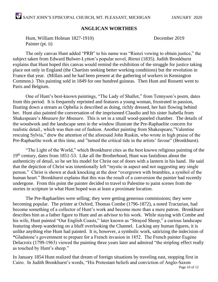### **ANGLICAN WORTHIES**

Hunt, William Holman 1827-1910) December 2019 Painter (pt. ii)

The only canvas Hunt added "PRB" to his name was "Rienzi vowing to obtain justice," the subject taken from Edward Bulwer-Lytton's popular novel, *Rienzi* (1835). Judith Bronkhurst explains that Hunt hoped this canvas would remind the exhibition of the struggle for justice taking place not only in England (the Chartists seeking better working conditions) but the revolution in France that year. (Millais and he had been present at the gathering of workers in Kensington Common.) This painting sold in 1849 for one hundred guineas. Then Hunt and Rossetti went to Paris and Belgium.

One of Hunt's best-known paintings, "The Lady of Shallot," from Tennyson's poem, dates from this period. It is frequently reprinted and features a young woman, frustrated in passion, floating down a stream as Ophelia is described as doing, richly dressed, her hair flowing behind her. Hunt also painted the conversation of the imprisoned Claudio and his sister Isabella from Shakespeare's *Measure for Measure*. This is set in a small wood-paneled chamber. The details of the woodwork and the landscape seen in the window illustrate the Pre-Raphaelite concern for realistic detail., which was then out of fashion. Another painting from Shakespeare,"Valentine rescuing Sylvia," drew the attention of the aforesaid John Ruskin, who wrote in high praise of the Pre-Raphaelite work at this time, and "turned the critical tide in the artists' favour" (Bronkhurst).

"The Light of the World," which Bronkhurst cites as the best known religious painting of the 19<sup>th</sup> century, dates from 1851-53. Like all the Brotherhood, Hunt was fastidious about the authenticity of detail, so he set his model for Christ out of doors with a lantern in his hand. He said that the depiction of Christ was intentionally left "mystic in aspect and not suggesting any single person." Christ is shown at dusk knocking at the door "overgrown with brambles, a symbol of the human heart." Bronkhurst explains that this was the result of a conversion the painter had recently undergone. From this point the painter decided to travel to Palestine to paint scenes from the stories in scripture in what Hunt hoped was at least a proximate location.

The Pre-Raphaelites were selling; they were getting generous commissions; they were becoming popular. The printer at Oxford, Thomas Combe (1796-1872), a noted Tractarian, had become something of a collector of Hunt's work and become more than a mere patron. Bronkhurst describes him as a father figure to Hunt and an advisor to his work. While staying with Combe and his wife, Hunt painted "Our English Coasts," later known as "Strayed Sheep," a curious landscape featuring sheep wandering on a bluff overlooking the Channel. Lacking any human figures, it is unlike anything else Hunt had painted. It is, however, a symbolic work, satirizing the indecision of \*Gladstone's government to prepare for a French invasion in 1852. The French painter Eugėne Delacroix (1799-1963) viewed the painting three years later and admired "the stripling effect really as touched by Hunt's sheep."

In January 1854 Hunt realized that dream of foreign situations by traveling east, stopping first in Cairo. In Judith Bronkhurst's words, "His Protestant beliefs and conviction of Anglo-Saxon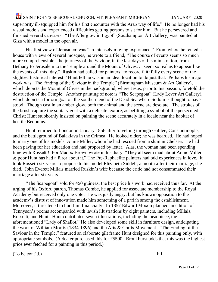superiority ill-equipped him for his first encounter with the Arab way of life." He no longer had his visual models and experienced difficulties getting persons to sit for him. But he persevered and finished several canvases. "The Afterglow in Egypt" (Southampton Art Gallery) was painted at Giza with a model in the open air.

His first view of Jerusalem was "an intensely moving experience." From where he rented a house with views of several mosques, he wrote to a friend, "The course of events seems so much more comprehensible--the journeys of the Saviour, in the last days of his ministration, from Bethany to Jerusalem to the Temple around the Mount of Olives. . . seem so real as to appear like the events of [this] day." Ruskin had called for painters "to record faithfully every scene of the slightest historical interest:" Hunt felt he was in an ideal location to do just that. Perhaps his major work was "The Finding of the Saviour in the Temple" (Birmingham Museum & Art Gallery), which depicts the Mount of Olives in the background, where Jesus, prior to his passion, foretold the destruction of the Temple. Another painting of note is "The Scapegoat" (Lady Lever Art Gallery), which depicts a forlorn goat on the southern end of the Dead Sea where Sodom is thought to have stood. Though cast in an amber glow, both the animal and the scene are desolate. The strokes of the brush capture the solitary goat with a delicate texture, as befitting a symbol of the persecuted Christ; Hunt stubbornly insisted on painting the scene accurately in a locale near the habitat of hostile Bedouins.

Hunt returned to London in January 1856 after travelling through Galilee, Constantinople, and the battleground of Balaklava in the Crimea. He looked older; he was bearded. He had hoped to marry one of his models, Annie Miller, whom he had rescued from a slum in Chelsea. He had been paying for her education and had proposed by letter. Alas, the woman had been spending time with Rossetti! For Madox Brown wrote in his diary, "They all seem mad about Annie Miller & poor Hunt has had a furor about it." The Pre-Raphaelite painters had odd experiences in love. It took Rossetti six years to propose to his model Elizabeth Siddell; a month after their marriage, she died. John Everett Millais married Ruskin's wife because the critic had not consummated their marriage after six years.

"The Scapegoat" sold for 450 guineas, the best price his work had received thus far. At the urging of his Oxford patron, Thomas Combe, he applied for associate membership to the Royal Academy but received only one vote! He was justly angry, but his known opposition to the academy's distrust of innovation made him something of a pariah among the establishment. Moreover, it threatened to hurt him financially. In 1857 Edward Moxon planned an edition of Tennyson's poems accompanied with lavish illustrations by eight painters, including Millais, Rossetti, and Hunt. Hunt contributed seven illustrations, including the headpiece, the aforementioned "Lady of Shallot." He also developed some skill in furniture design, anticipating the work of William Morris (1834-1896) and the Arts & Crafts Movement. "The Finding of the Saviour in the Temple," featured an elaborate gilt frame Hunt designed for this painting only, with appropriate symbols. (A dealer purchased this for £5500. Bronkhurst adds that this was the highest price ever fetched for a painting in this period.)

 $(To \text{ be cont'}d.)$  --hlf